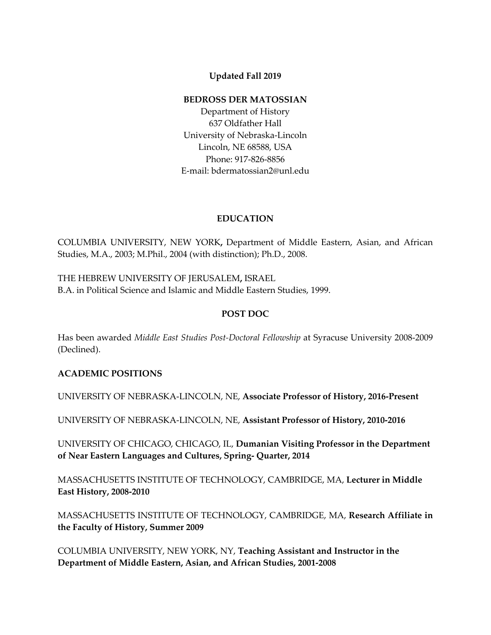# **Updated Fall 2019**

#### **BEDROSS DER MATOSSIAN**

Department of History 637 Oldfather Hall University of Nebraska-Lincoln Lincoln, NE 68588, USA Phone: 917-826-8856 E-mail: bdermatossian2@unl.edu

# **EDUCATION**

COLUMBIA UNIVERSITY, NEW YORK**,** Department of Middle Eastern, Asian, and African Studies, M.A., 2003; M.Phil., 2004 (with distinction); Ph.D., 2008.

THE HEBREW UNIVERSITY OF JERUSALEM**,** ISRAEL B.A. in Political Science and Islamic and Middle Eastern Studies, 1999.

# **POST DOC**

Has been awarded *Middle East Studies Post-Doctoral Fellowship* at Syracuse University 2008-2009 (Declined).

## **ACADEMIC POSITIONS**

UNIVERSITY OF NEBRASKA-LINCOLN, NE, **Associate Professor of History, 2016-Present**

UNIVERSITY OF NEBRASKA-LINCOLN, NE, **Assistant Professor of History, 2010-2016**

UNIVERSITY OF CHICAGO, CHICAGO, IL, **Dumanian Visiting Professor in the Department of Near Eastern Languages and Cultures, Spring- Quarter, 2014**

MASSACHUSETTS INSTITUTE OF TECHNOLOGY, CAMBRIDGE, MA, **Lecturer in Middle East History, 2008-2010**

MASSACHUSETTS INSTITUTE OF TECHNOLOGY, CAMBRIDGE, MA, **Research Affiliate in the Faculty of History, Summer 2009**

COLUMBIA UNIVERSITY, NEW YORK, NY, **Teaching Assistant and Instructor in the Department of Middle Eastern, Asian, and African Studies, 2001-2008**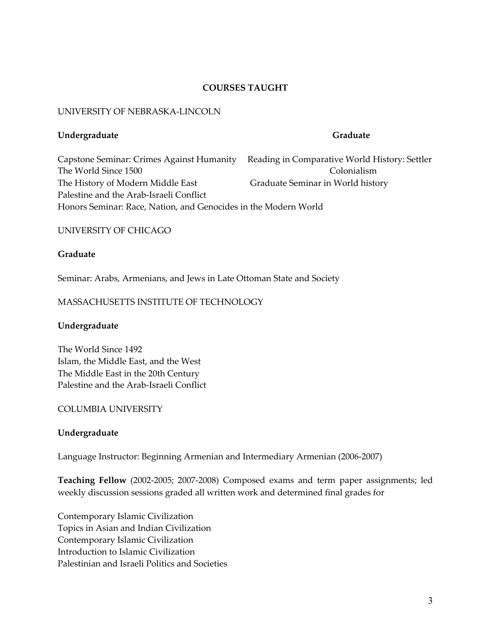# **COURSES TAUGHT**

#### UNIVERSITY OF NEBRASKA-LINCOLN

#### **Undergraduate Graduate**

Capstone Seminar: Crimes Against Humanity Reading in Comparative World History: Settler The World Since 1500 Colonialism The History of Modern Middle East Graduate Seminar in World history Palestine and the Arab-Israeli Conflict Honors Seminar: Race, Nation, and Genocides in the Modern World

## UNIVERSITY OF CHICAGO

## **Graduate**

Seminar: Arabs, Armenians, and Jews in Late Ottoman State and Society

## MASSACHUSETTS INSTITUTE OF TECHNOLOGY

## **Undergraduate**

The World Since 1492 Islam, the Middle East, and the West The Middle East in the 20th Century Palestine and the Arab-Israeli Conflict

## COLUMBIA UNIVERSITY

## **Undergraduate**

Language Instructor: Beginning Armenian and Intermediary Armenian (2006-2007)

**Teaching Fellow** (2002-2005; 2007-2008) Composed exams and term paper assignments; led weekly discussion sessions graded all written work and determined final grades for

Contemporary Islamic Civilization Topics in Asian and Indian Civilization Contemporary Islamic Civilization Introduction to Islamic Civilization Palestinian and Israeli Politics and Societies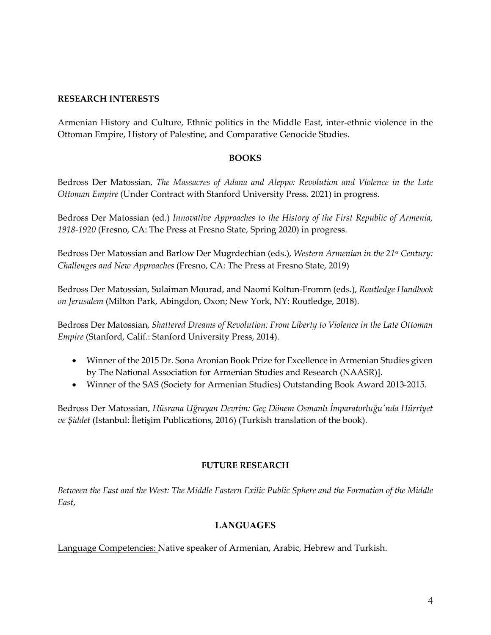## **RESEARCH INTERESTS**

Armenian History and Culture, Ethnic politics in the Middle East, inter-ethnic violence in the Ottoman Empire, History of Palestine, and Comparative Genocide Studies.

# **BOOKS**

Bedross Der Matossian, *The Massacres of Adana and Aleppo: Revolution and Violence in the Late Ottoman Empire* (Under Contract with Stanford University Press. 2021) in progress.

Bedross Der Matossian (ed.) *Innovative Approaches to the History of the First Republic of Armenia, 1918-1920* (Fresno, CA: The Press at Fresno State, Spring 2020) in progress.

Bedross Der Matossian and Barlow Der Mugrdechian (eds.), *Western Armenian in the 21st Century: Challenges and New Approaches* (Fresno, CA: The Press at Fresno State, 2019)

Bedross Der Matossian, Sulaiman Mourad, and Naomi Koltun-Fromm (eds.), *Routledge Handbook on Jerusalem* (Milton Park, Abingdon, Oxon; New York, NY: Routledge, 2018).

Bedross Der Matossian, *Shattered Dreams of Revolution: From Liberty to Violence in the Late Ottoman Empire* (Stanford, Calif.: Stanford University Press, 2014).

- Winner of the 2015 Dr. Sona Aronian Book Prize for Excellence in Armenian Studies given by The National Association for Armenian Studies and Research (NAASR)].
- Winner of the SAS (Society for Armenian Studies) Outstanding Book Award 2013-2015.

Bedross Der Matossian, *Hüsrana Uğrayan Devrim: Geç Dönem Osmanlı İmparatorluğu'nda Hürriyet ve Şiddet* (Istanbul: İletişim Publications, 2016) (Turkish translation of the book).

# **FUTURE RESEARCH**

*Between the East and the West: The Middle Eastern Exilic Public Sphere and the Formation of the Middle East*,

# **LANGUAGES**

Language Competencies: Native speaker of Armenian, Arabic, Hebrew and Turkish.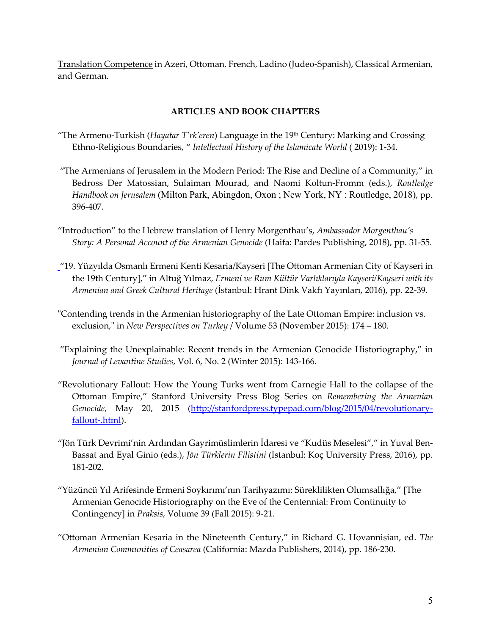Translation Competence in Azeri, Ottoman, French, Ladino (Judeo-Spanish), Classical Armenian, and German.

# **ARTICLES AND BOOK CHAPTERS**

- "The Armeno-Turkish (*Hayatar T'rk'eren*) Language in the 19th Century: Marking and Crossing Ethno-Religious Boundaries, " *Intellectual History of the Islamicate World* ( 2019): 1-34.
- "The Armenians of Jerusalem in the Modern Period: The Rise and Decline of a Community," in Bedross Der Matossian, Sulaiman Mourad, and Naomi Koltun-Fromm (eds.), *Routledge Handbook on Jerusalem* (Milton Park, Abingdon, Oxon ; New York, NY : Routledge, 2018), pp. 396-407.
- "Introduction" to the Hebrew translation of Henry Morgenthau's, *Ambassador Morgenthau's Story: A Personal Account of the Armenian Genocide* (Haifa: Pardes Publishing, 2018), pp. 31-55.
- "19. Yüzyılda Osmanlı Ermeni Kenti Kesaria/Kayseri [The Ottoman Armenian City of Kayseri in the 19th Century]," in Altuğ Yılmaz, *Ermeni ve Rum Kültür Varlıklarıyla Kayseri/Kayseri with its Armenian and Greek Cultural Heritage* (İstanbul: Hrant Dink Vakfı Yayınları, 2016), pp. 22-39.
- "Contending trends in the Armenian historiography of the Late Ottoman Empire: inclusion vs. exclusion," in *New Perspectives on Turkey* / Volume 53 (November 2015): 174 – 180.
- "Explaining the Unexplainable: Recent trends in the Armenian Genocide Historiography," in *Journal of Levantine Studies*, Vol. 6, No. 2 (Winter 2015): 143-166.
- "Revolutionary Fallout: How the Young Turks went from Carnegie Hall to the collapse of the Ottoman Empire," Stanford University Press Blog Series on *Remembering the Armenian Genocide*, May 20, 2015 (http://stanfordpress.typepad.com/blog/2015/04/revolutionaryfallout-.html).
- "Jön Türk Devrimi'nin Ardından Gayrimüslimlerin İdaresi ve "Kudüs Meselesi"," in Yuval Ben-Bassat and Eyal Ginio (eds.), *Jön Türklerin Filistini* (Istanbul: Koç University Press, 2016), pp. 181-202.
- "Yüzüncü Yıl Arifesinde Ermeni Soykırımı'nın Tarihyazımı: Süreklilikten Olumsallığa," [The Armenian Genocide Historiography on the Eve of the Centennial: From Continuity to Contingency] in *Praksis*, Volume 39 (Fall 2015): 9-21.
- "Ottoman Armenian Kesaria in the Nineteenth Century," in Richard G. Hovannisian, ed. *The Armenian Communities of Ceasarea* (California: Mazda Publishers, 2014), pp. 186-230.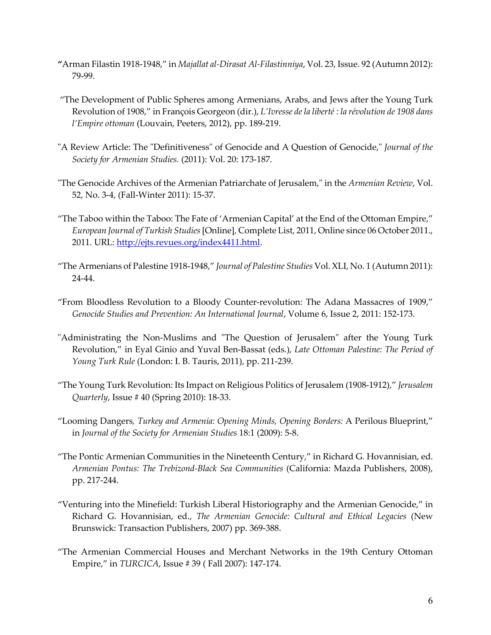- **"**Arman Filastin 1918-1948," in *Majallat al-Dirasat Al-Filastinniya*, Vol. 23, Issue. 92 (Autumn 2012): 79-99.
- "The Development of Public Spheres among Armenians, Arabs, and Jews after the Young Turk Revolution of 1908," in François Georgeon (dir.), *L'Ivresse de la liberté : la révolution de 1908 dans l'Empire ottoman* (Louvain, Peeters, 2012), pp. 189-219.
- "A Review Article: The "Definitiveness" of Genocide and A Question of Genocide," *Journal of the Society for Armenian Studies.* (2011): Vol. 20: 173-187.
- "The Genocide Archives of the Armenian Patriarchate of Jerusalem," in the *Armenian Review*, Vol. 52, No. 3-4, (Fall-Winter 2011): 15-37.
- "The Taboo within the Taboo: The Fate of 'Armenian Capital' at the End of the Ottoman Empire," *European Journal of Turkish Studies*[Online], Complete List, 2011, Online since 06 October 2011., 2011. URL: http://ejts.revues.org/index4411.html.
- "The Armenians of Palestine 1918-1948," *Journal of Palestine Studies* Vol. XLI, No. 1 (Autumn 2011): 24-44.
- "From Bloodless Revolution to a Bloody Counter-revolution: The Adana Massacres of 1909," *Genocide Studies and Prevention: An International Journal*, Volume 6, Issue 2, 2011: 152-173.
- "Administrating the Non-Muslims and "The Question of Jerusalem" after the Young Turk Revolution," in Eyal Ginio and Yuval Ben-Bassat (eds.), *Late Ottoman Palestine: The Period of Young Turk Rule* (London: I. B. Tauris, 2011), pp. 211-239.
- "The Young Turk Revolution: Its Impact on Religious Politics of Jerusalem (1908-1912)," *Jerusalem Quarterly*, Issue # 40 (Spring 2010): 18-33.
- "Looming Dangers*, Turkey and Armenia: Opening Minds, Opening Borders:* A Perilous Blueprint," in *Journal of the Society for Armenian Studies* 18:1 (2009): 5-8.
- "The Pontic Armenian Communities in the Nineteenth Century," in Richard G. Hovannisian, ed. *Armenian Pontus: The Trebizond-Black Sea Communities* (California: Mazda Publishers, 2008), pp. 217-244.
- "Venturing into the Minefield: Turkish Liberal Historiography and the Armenian Genocide," in Richard G. Hovannisian, ed., *The Armenian Genocide: Cultural and Ethical Legacies* (New Brunswick: Transaction Publishers, 2007) pp. 369-388.
- "The Armenian Commercial Houses and Merchant Networks in the 19th Century Ottoman Empire," in *TURCICA*, Issue # 39 ( Fall 2007): 147-174.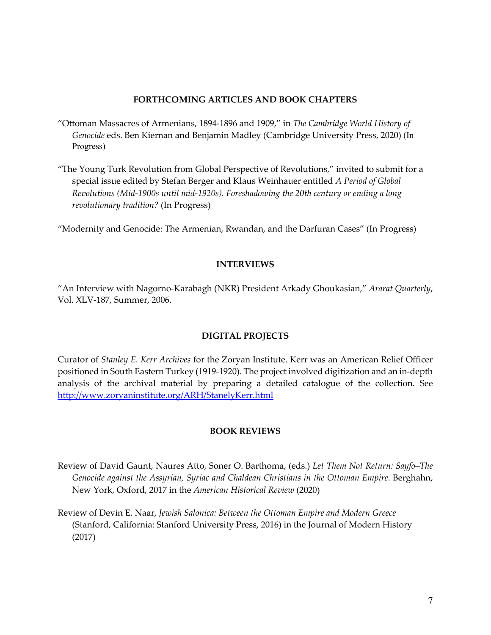### **FORTHCOMING ARTICLES AND BOOK CHAPTERS**

- "Ottoman Massacres of Armenians, 1894-1896 and 1909," in *The Cambridge World History of Genocide* eds. Ben Kiernan and Benjamin Madley (Cambridge University Press, 2020) (In Progress)
- "The Young Turk Revolution from Global Perspective of Revolutions," invited to submit for a special issue edited by Stefan Berger and Klaus Weinhauer entitled *A Period of Global Revolutions (Mid-1900s until mid-1920s). Foreshadowing the 20th century or ending a long revolutionary tradition?* (In Progress)

"Modernity and Genocide: The Armenian, Rwandan, and the Darfuran Cases" (In Progress)

# **INTERVIEWS**

"An Interview with Nagorno-Karabagh (NKR) President Arkady Ghoukasian," *Ararat Quarterly*, Vol. XLV-187, Summer, 2006.

## **DIGITAL PROJECTS**

Curator of *Stanley E. Kerr Archives* for the Zoryan Institute. Kerr was an American Relief Officer positioned in South Eastern Turkey (1919-1920). The project involved digitization and an in-depth analysis of the archival material by preparing a detailed catalogue of the collection. See http://www.zoryaninstitute.org/ARH/StanelyKerr.html

## **BOOK REVIEWS**

- Review of David Gaunt, Naures Atto, Soner O. Barthoma, (eds.) *Let Them Not Return: Sayfo–The Genocide against the Assyrian, Syriac and Chaldean Christians in the Ottoman Empire*. Berghahn, New York, Oxford, 2017 in the *American Historical Review* (2020)
- Review of Devin E. Naar, *Jewish Salonica: Between the Ottoman Empire and Modern Greece* (Stanford, California: Stanford University Press, 2016) in the Journal of Modern History (2017)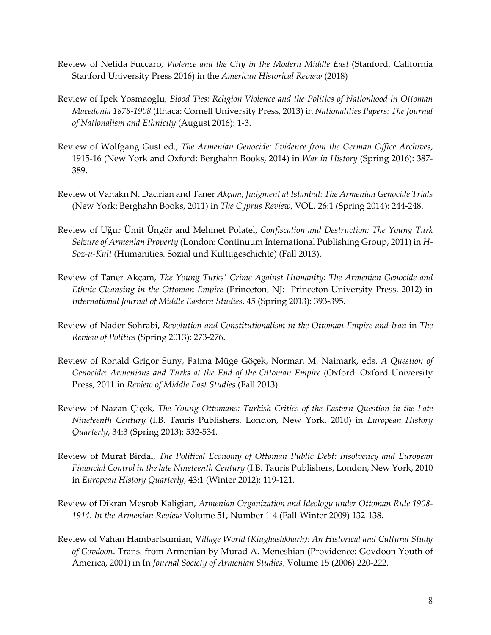- Review of Nelida Fuccaro, *Violence and the City in the Modern Middle East* (Stanford, California Stanford University Press 2016) in the *American Historical Review* (2018)
- Review of Ipek Yosmaoglu, *Blood Ties: Religion Violence and the Politics of Nationhood in Ottoman Macedonia 1878-1908* (Ithaca: Cornell University Press, 2013) in *Nationalities Papers: The Journal of Nationalism and Ethnicity* (August 2016): 1-3.
- Review of Wolfgang Gust ed., *The Armenian Genocide: Evidence from the German Office Archives*, 1915-16 (New York and Oxford: Berghahn Books, 2014) in *War in History* (Spring 2016): 387- 389.
- Review of Vahakn N. Dadrian and Taner *Akçam*, *Judgment at Istanbul: The Armenian Genocide Trials* (New York: Berghahn Books, 2011) in *The Cyprus Review*, VOL. 26:1 (Spring 2014): 244-248.
- Review of Uğur Ümit Üngör and Mehmet Polatel, *Confiscation and Destruction: The Young Turk Seizure of Armenian Property* (London: Continuum International Publishing Group, 2011) in *H-Soz-u-Kult* (Humanities. Sozial und Kultugeschichte) (Fall 2013).
- Review of Taner Akçam, *The Young Turks' Crime Against Humanity: The Armenian Genocide and Ethnic Cleansing in the Ottoman Empire* (Princeton, NJ: Princeton University Press, 2012) in *International Journal of Middle Eastern Studies*, 45 (Spring 2013): 393-395.
- Review of Nader Sohrabi, *Revolution and Constitutionalism in the Ottoman Empire and Iran* in *The Review of Politics* (Spring 2013): 273-276.
- Review of Ronald Grigor Suny, Fatma Müge Göçek, Norman M. Naimark, eds. *A Question of Genocide: Armenians and Turks at the End of the Ottoman Empire* (Oxford: Oxford University Press, 2011 in *Review of Middle East Studies* (Fall 2013).
- Review of Nazan Çiçek, *The Young Ottomans: Turkish Critics of the Eastern Question in the Late Nineteenth Century* (I.B. Tauris Publishers, London, New York, 2010) in *European History Quarterly*, 34:3 (Spring 2013): 532-534.
- Review of Murat Birdal, *The Political Economy of Ottoman Public Debt: Insolvency and European Financial Control in the late Nineteenth Century* (I.B. Tauris Publishers, London, New York, 2010 in *European History Quarterly*, 43:1 (Winter 2012): 119-121.
- Review of Dikran Mesrob Kaligian, *Armenian Organization and Ideology under Ottoman Rule 1908- 1914. In the Armenian Review* Volume 51, Number 1-4 (Fall-Winter 2009) 132-138.
- Review of Vahan Hambartsumian, V*illage World (Kiughashkharh): An Historical and Cultural Study of Govdoon*. Trans. from Armenian by Murad A. Meneshian (Providence: Govdoon Youth of America, 2001) in In *Journal Society of Armenian Studies*, Volume 15 (2006) 220-222.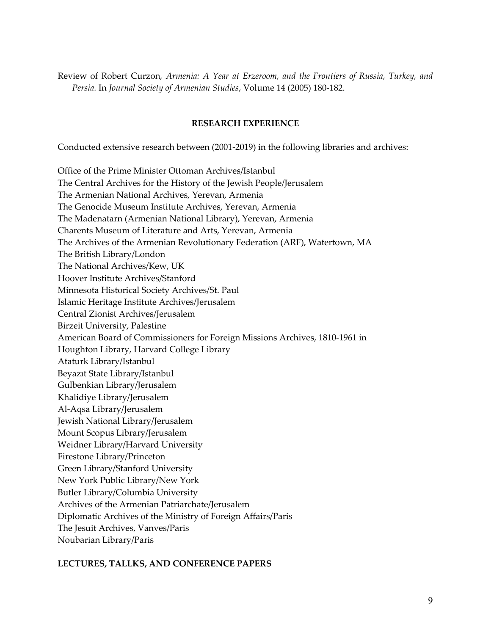Review of Robert Curzon*, Armenia: A Year at Erzeroom, and the Frontiers of Russia, Turkey, and Persia.* In *Journal Society of Armenian Studies*, Volume 14 (2005) 180-182.

#### **RESEARCH EXPERIENCE**

Conducted extensive research between (2001-2019) in the following libraries and archives:

Office of the Prime Minister Ottoman Archives/Istanbul The Central Archives for the History of the Jewish People/Jerusalem The Armenian National Archives, Yerevan, Armenia The Genocide Museum Institute Archives, Yerevan, Armenia The Madenatarn (Armenian National Library), Yerevan, Armenia Charents Museum of Literature and Arts, Yerevan, Armenia The Archives of the Armenian Revolutionary Federation (ARF), Watertown, MA The British Library/London The National Archives/Kew, UK Hoover Institute Archives/Stanford Minnesota Historical Society Archives/St. Paul Islamic Heritage Institute Archives/Jerusalem Central Zionist Archives/Jerusalem Birzeit University, Palestine American Board of Commissioners for Foreign Missions Archives, 1810-1961 in Houghton Library, Harvard College Library Ataturk Library/Istanbul Beyazıt State Library/Istanbul Gulbenkian Library/Jerusalem Khalidiye Library/Jerusalem Al-Aqsa Library/Jerusalem Jewish National Library/Jerusalem Mount Scopus Library/Jerusalem Weidner Library/Harvard University Firestone Library/Princeton Green Library/Stanford University New York Public Library/New York Butler Library/Columbia University Archives of the Armenian Patriarchate/Jerusalem Diplomatic Archives of the Ministry of Foreign Affairs/Paris The Jesuit Archives, Vanves/Paris Noubarian Library/Paris

## **LECTURES, TALLKS, AND CONFERENCE PAPERS**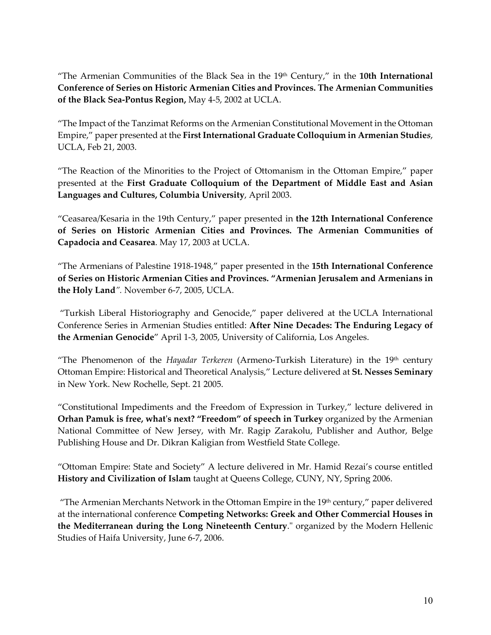"The Armenian Communities of the Black Sea in the 19th Century," in the **10th International Conference of Series on Historic Armenian Cities and Provinces. The Armenian Communities of the Black Sea-Pontus Region,** May 4-5, 2002 at UCLA.

"The Impact of the Tanzimat Reforms on the Armenian Constitutional Movement in the Ottoman Empire," paper presented at the **First International Graduate Colloquium in Armenian Studie***s*, UCLA, Feb 21, 2003.

"The Reaction of the Minorities to the Project of Ottomanism in the Ottoman Empire," paper presented at the **First Graduate Colloquium of the Department of Middle East and Asian Languages and Cultures, Columbia University**, April 2003.

"Ceasarea/Kesaria in the 19th Century," paper presented in **the 12th International Conference of Series on Historic Armenian Cities and Provinces. The Armenian Communities of Capadocia and Ceasarea**. May 17, 2003 at UCLA.

"The Armenians of Palestine 1918-1948," paper presented in the **15th International Conference of Series on Historic Armenian Cities and Provinces. "Armenian Jerusalem and Armenians in the Holy Land***".* November 6-7, 2005, UCLA.

"Turkish Liberal Historiography and Genocide," paper delivered at the UCLA International Conference Series in Armenian Studies entitled: **After Nine Decades: The Enduring Legacy of the Armenian Genocide**" April 1-3, 2005, University of California, Los Angeles.

"The Phenomenon of the *Hayadar Terkeren* (Armeno-Turkish Literature) in the 19th century Ottoman Empire: Historical and Theoretical Analysis," Lecture delivered at **St. Nesses Seminary** in New York. New Rochelle, Sept. 21 2005.

"Constitutional Impediments and the Freedom of Expression in Turkey," lecture delivered in **Orhan Pamuk is free, what's next? "Freedom" of speech in Turkey** organized by the Armenian National Committee of New Jersey, with Mr. Ragip Zarakolu, Publisher and Author, Belge Publishing House and Dr. Dikran Kaligian from Westfield State College.

"Ottoman Empire: State and Society" A lecture delivered in Mr. Hamid Rezai's course entitled **History and Civilization of Islam** taught at Queens College, CUNY, NY, Spring 2006.

"The Armenian Merchants Network in the Ottoman Empire in the  $19<sup>th</sup>$  century," paper delivered at the international conference **Competing Networks: Greek and Other Commercial Houses in the Mediterranean during the Long Nineteenth Century**." organized by the Modern Hellenic Studies of Haifa University, June 6-7, 2006.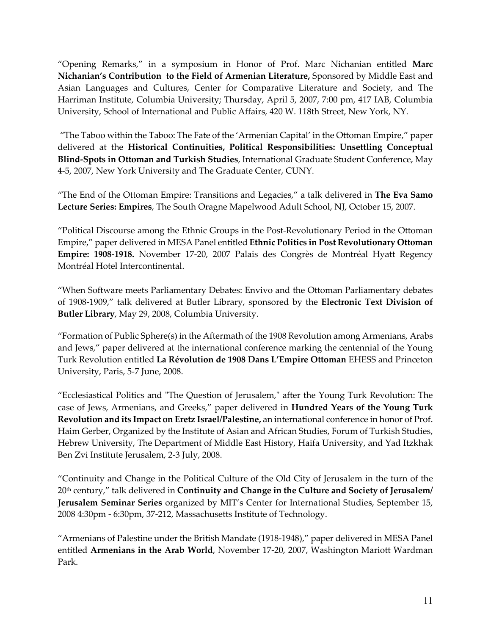"Opening Remarks," in a symposium in Honor of Prof. Marc Nichanian entitled **Marc Nichanian's Contribution to the Field of Armenian Literature,** Sponsored by Middle East and Asian Languages and Cultures, Center for Comparative Literature and Society, and The Harriman Institute, Columbia University; Thursday, April 5, 2007, 7:00 pm, 417 IAB, Columbia University, School of International and Public Affairs, 420 W. 118th Street, New York, NY.

"The Taboo within the Taboo: The Fate of the 'Armenian Capital' in the Ottoman Empire," paper delivered at the **Historical Continuities, Political Responsibilities: Unsettling Conceptual Blind-Spots in Ottoman and Turkish Studies**, International Graduate Student Conference, May 4-5, 2007, New York University and The Graduate Center, CUNY.

"The End of the Ottoman Empire: Transitions and Legacies," a talk delivered in **The Eva Samo Lecture Series: Empires**, The South Oragne Mapelwood Adult School, NJ, October 15, 2007.

"Political Discourse among the Ethnic Groups in the Post-Revolutionary Period in the Ottoman Empire," paper delivered in MESA Panel entitled **Ethnic Politics in Post Revolutionary Ottoman Empire: 1908-1918.** November 17-20, 2007 Palais des Congrès de Montréal Hyatt Regency Montréal Hotel Intercontinental.

"When Software meets Parliamentary Debates: Envivo and the Ottoman Parliamentary debates of 1908-1909," talk delivered at Butler Library, sponsored by the **Electronic Text Division of Butler Library**, May 29, 2008, Columbia University.

"Formation of Public Sphere(s) in the Aftermath of the 1908 Revolution among Armenians, Arabs and Jews," paper delivered at the international conference marking the centennial of the Young Turk Revolution entitled **La Révolution de 1908 Dans L'Empire Ottoman** EHESS and Princeton University, Paris, 5-7 June, 2008.

"Ecclesiastical Politics and "The Question of Jerusalem," after the Young Turk Revolution: The case of Jews, Armenians, and Greeks," paper delivered in **Hundred Years of the Young Turk Revolution and its Impact on Eretz Israel/Palestine,** an international conference in honor of Prof. Haim Gerber, Organized by the Institute of Asian and African Studies, Forum of Turkish Studies, Hebrew University, The Department of Middle East History, Haifa University, and Yad Itzkhak Ben Zvi Institute Jerusalem, 2-3 July, 2008.

"Continuity and Change in the Political Culture of the Old City of Jerusalem in the turn of the 20th century," talk delivered in **Continuity and Change in the Culture and Society of Jerusalem/ Jerusalem Seminar Series** organized by MIT's Center for International Studies, September 15, 2008 4:30pm - 6:30pm, 37-212, Massachusetts Institute of Technology.

"Armenians of Palestine under the British Mandate (1918-1948)," paper delivered in MESA Panel entitled **Armenians in the Arab World**, November 17-20, 2007, Washington Mariott Wardman Park.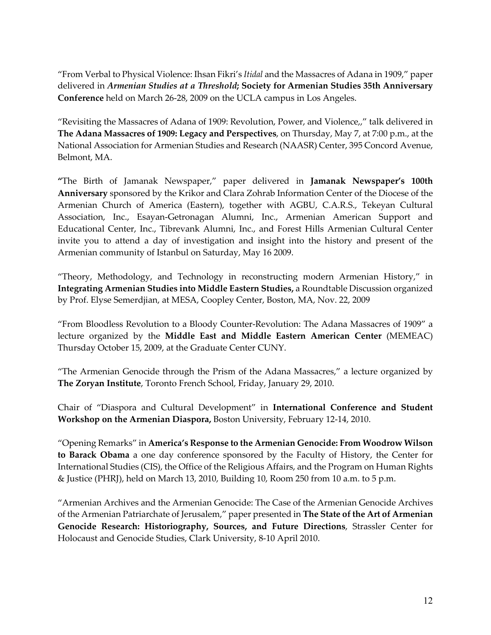"From Verbal to Physical Violence: Ihsan Fikri's *Itidal* and the Massacres of Adana in 1909," paper delivered in *Armenian Studies at a Threshold***; Society for Armenian Studies 35th Anniversary Conference** held on March 26-28, 2009 on the UCLA campus in Los Angeles.

"Revisiting the Massacres of Adana of 1909: Revolution, Power, and Violence,," talk delivered in **The Adana Massacres of 1909: Legacy and Perspectives**, on Thursday, May 7, at 7:00 p.m., at the National Association for Armenian Studies and Research (NAASR) Center, 395 Concord Avenue, Belmont, MA.

**"**The Birth of Jamanak Newspaper," paper delivered in **Jamanak Newspaper's 100th Anniversary** sponsored by the Krikor and Clara Zohrab Information Center of the Diocese of the Armenian Church of America (Eastern), together with AGBU, C.A.R.S., Tekeyan Cultural Association, Inc., Esayan-Getronagan Alumni, Inc., Armenian American Support and Educational Center, Inc., Tibrevank Alumni, Inc., and Forest Hills Armenian Cultural Center invite you to attend a day of investigation and insight into the history and present of the Armenian community of Istanbul on Saturday, May 16 2009.

"Theory, Methodology, and Technology in reconstructing modern Armenian History," in **Integrating Armenian Studies into Middle Eastern Studies,** a Roundtable Discussion organized by Prof. Elyse Semerdjian, at MESA, Coopley Center, Boston, MA, Nov. 22, 2009

"From Bloodless Revolution to a Bloody Counter-Revolution: The Adana Massacres of 1909" a lecture organized by the **Middle East and Middle Eastern American Center** (MEMEAC) Thursday October 15, 2009, at the Graduate Center CUNY.

"The Armenian Genocide through the Prism of the Adana Massacres," a lecture organized by **The Zoryan Institute**, Toronto French School, Friday, January 29, 2010.

Chair of "Diaspora and Cultural Development" in **International Conference and Student Workshop on the Armenian Diaspora,** Boston University, February 12-14, 2010.

"Opening Remarks" in **America's Response to the Armenian Genocide: From Woodrow Wilson to Barack Obama** a one day conference sponsored by the Faculty of History, the Center for International Studies (CIS), the Office of the Religious Affairs, and the Program on Human Rights & Justice (PHRJ), held on March 13, 2010, Building 10, Room 250 from 10 a.m. to 5 p.m.

"Armenian Archives and the Armenian Genocide: The Case of the Armenian Genocide Archives of the Armenian Patriarchate of Jerusalem," paper presented in **The State of the Art of Armenian Genocide Research: Historiography, Sources, and Future Directions**, Strassler Center for Holocaust and Genocide Studies, Clark University, 8-10 April 2010.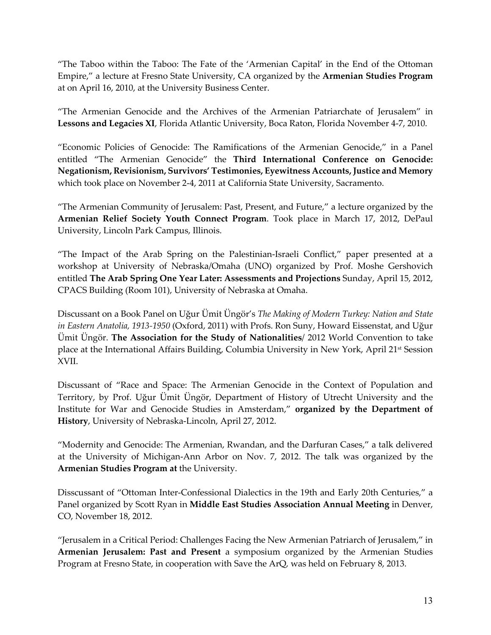"The Taboo within the Taboo: The Fate of the 'Armenian Capital' in the End of the Ottoman Empire," a lecture at Fresno State University, CA organized by the **Armenian Studies Program** at on April 16, 2010, at the University Business Center.

"The Armenian Genocide and the Archives of the Armenian Patriarchate of Jerusalem" in **Lessons and Legacies XI**, Florida Atlantic University, Boca Raton, Florida November 4-7, 2010.

"Economic Policies of Genocide: The Ramifications of the Armenian Genocide," in a Panel entitled "The Armenian Genocide" the **Third International Conference on Genocide: Negationism, Revisionism, Survivors' Testimonies, Eyewitness Accounts, Justice and Memory** which took place on November 2-4, 2011 at California State University, Sacramento.

"The Armenian Community of Jerusalem: Past, Present, and Future," a lecture organized by the **Armenian Relief Society Youth Connect Program**. Took place in March 17, 2012, DePaul University, Lincoln Park Campus, Illinois.

"The Impact of the Arab Spring on the Palestinian-Israeli Conflict," paper presented at a workshop at University of Nebraska/Omaha (UNO) organized by Prof. Moshe Gershovich entitled **The Arab Spring One Year Later: Assessments and Projections** Sunday, April 15, 2012, CPACS Building (Room 101), University of Nebraska at Omaha.

Discussant on a Book Panel on Uğur Ümit Üngör's *The Making of Modern Turkey: Nation and State in Eastern Anatolia, 1913-1950* (Oxford, 2011) with Profs. Ron Suny, Howard Eissenstat, and Uğur Ümit Üngör. **The Association for the Study of Nationalities**/ 2012 World Convention to take place at the International Affairs Building, Columbia University in New York, April 21st Session XVII.

Discussant of "Race and Space: The Armenian Genocide in the Context of Population and Territory, by Prof. Uğur Ümit Üngör, Department of History of Utrecht University and the Institute for War and Genocide Studies in Amsterdam," **organized by the Department of History**, University of Nebraska-Lincoln, April 27, 2012.

"Modernity and Genocide: The Armenian, Rwandan, and the Darfuran Cases," a talk delivered at the University of Michigan-Ann Arbor on Nov. 7, 2012. The talk was organized by the **Armenian Studies Program at** the University.

Disscussant of "Ottoman Inter-Confessional Dialectics in the 19th and Early 20th Centuries," a Panel organized by Scott Ryan in **Middle East Studies Association Annual Meeting** in Denver, CO, November 18, 2012.

"Jerusalem in a Critical Period: Challenges Facing the New Armenian Patriarch of Jerusalem," in **Armenian Jerusalem: Past and Present** a symposium organized by the Armenian Studies Program at Fresno State, in cooperation with Save the ArQ, was held on February 8, 2013.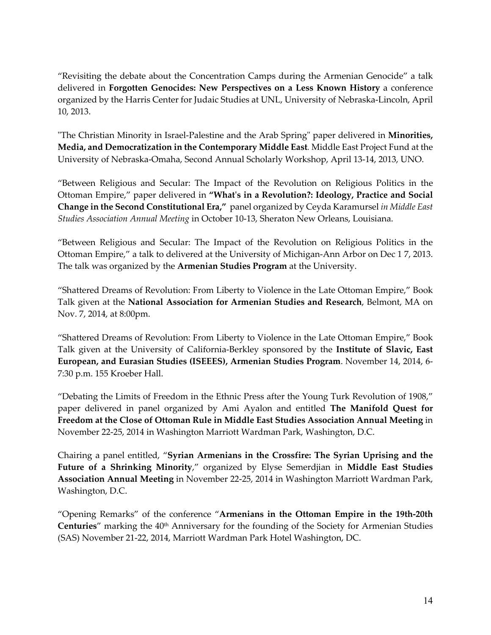"Revisiting the debate about the Concentration Camps during the Armenian Genocide" a talk delivered in **Forgotten Genocides: New Perspectives on a Less Known History** a conference organized by the Harris Center for Judaic Studies at UNL, University of Nebraska-Lincoln, April 10, 2013.

"The Christian Minority in Israel-Palestine and the Arab Spring" paper delivered in **Minorities, Media, and Democratization in the Contemporary Middle East***.* Middle East Project Fund at the University of Nebraska-Omaha, Second Annual Scholarly Workshop, April 13-14, 2013, UNO.

"Between Religious and Secular: The Impact of the Revolution on Religious Politics in the Ottoman Empire," paper delivered in **"What's in a Revolution?: Ideology, Practice and Social Change in the Second Constitutional Era,"** panel organized by Ceyda Karamursel *in Middle East Studies Association Annual Meeting* in October 10-13, Sheraton New Orleans, Louisiana.

"Between Religious and Secular: The Impact of the Revolution on Religious Politics in the Ottoman Empire," a talk to delivered at the University of Michigan-Ann Arbor on Dec 1 7, 2013. The talk was organized by the **Armenian Studies Program** at the University.

"Shattered Dreams of Revolution: From Liberty to Violence in the Late Ottoman Empire," Book Talk given at the **National Association for Armenian Studies and Research**, Belmont, MA on Nov. 7, 2014, at 8:00pm.

"Shattered Dreams of Revolution: From Liberty to Violence in the Late Ottoman Empire," Book Talk given at the University of California-Berkley sponsored by the **Institute of Slavic, East European, and Eurasian Studies (ISEEES), Armenian Studies Program**. November 14, 2014, 6- 7:30 p.m. 155 Kroeber Hall.

"Debating the Limits of Freedom in the Ethnic Press after the Young Turk Revolution of 1908," paper delivered in panel organized by Ami Ayalon and entitled **The Manifold Quest for Freedom at the Close of Ottoman Rule in Middle East Studies Association Annual Meeting** in November 22-25, 2014 in Washington Marriott Wardman Park, Washington, D.C.

Chairing a panel entitled, "**Syrian Armenians in the Crossfire: The Syrian Uprising and the Future of a Shrinking Minority**," organized by Elyse Semerdjian in **Middle East Studies Association Annual Meeting** in November 22-25, 2014 in Washington Marriott Wardman Park, Washington, D.C.

"Opening Remarks" of the conference "**Armenians in the Ottoman Empire in the 19th-20th**  Centuries" marking the 40<sup>th</sup> Anniversary for the founding of the Society for Armenian Studies (SAS) November 21-22, 2014, Marriott Wardman Park Hotel Washington, DC.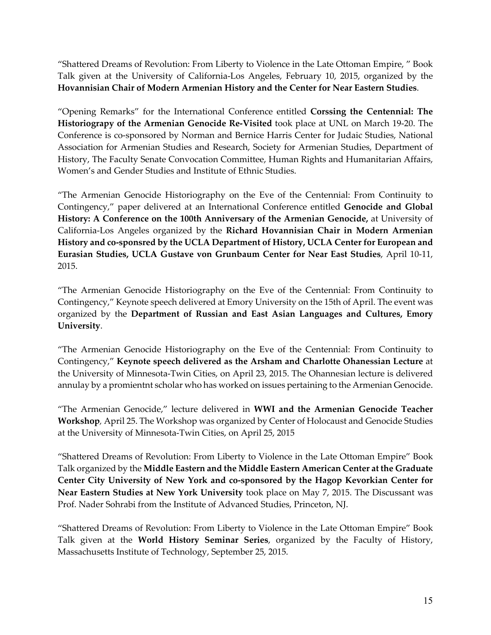"Shattered Dreams of Revolution: From Liberty to Violence in the Late Ottoman Empire, " Book Talk given at the University of California-Los Angeles, February 10, 2015, organized by the **Hovannisian Chair of Modern Armenian History and the Center for Near Eastern Studies**.

"Opening Remarks" for the International Conference entitled **Corssing the Centennial: The Historiograpy of the Armenian Genocide Re-Visited** took place at UNL on March 19-20. The Conference is co-sponsored by Norman and Bernice Harris Center for Judaic Studies, National Association for Armenian Studies and Research, Society for Armenian Studies, Department of History, The Faculty Senate Convocation Committee, Human Rights and Humanitarian Affairs, Women's and Gender Studies and Institute of Ethnic Studies.

"The Armenian Genocide Historiography on the Eve of the Centennial: From Continuity to Contingency," paper delivered at an International Conference entitled **Genocide and Global History: A Conference on the 100th Anniversary of the Armenian Genocide,** at University of California-Los Angeles organized by the **Richard Hovannisian Chair in Modern Armenian History and co-sponsred by the UCLA Department of History, UCLA Center for European and Eurasian Studies, UCLA Gustave von Grunbaum Center for Near East Studies**, April 10-11, 2015.

"The Armenian Genocide Historiography on the Eve of the Centennial: From Continuity to Contingency," Keynote speech delivered at Emory University on the 15th of April. The event was organized by the **Department of Russian and East Asian Languages and Cultures, Emory University**.

"The Armenian Genocide Historiography on the Eve of the Centennial: From Continuity to Contingency," **Keynote speech delivered as the Arsham and Charlotte Ohanessian Lecture** at the University of Minnesota-Twin Cities, on April 23, 2015. The Ohannesian lecture is delivered annulay by a promientnt scholar who has worked on issues pertaining to the Armenian Genocide.

"The Armenian Genocide," lecture delivered in **WWI and the Armenian Genocide Teacher Workshop***,* April 25. The Workshop was organized by Center of Holocaust and Genocide Studies at the University of Minnesota-Twin Cities, on April 25, 2015

"Shattered Dreams of Revolution: From Liberty to Violence in the Late Ottoman Empire" Book Talk organized by the **Middle Eastern and the Middle Eastern American Center at the Graduate Center City University of New York and co-sponsored by the Hagop Kevorkian Center for Near Eastern Studies at New York University** took place on May 7, 2015. The Discussant was Prof. Nader Sohrabi from the Institute of Advanced Studies, Princeton, NJ.

"Shattered Dreams of Revolution: From Liberty to Violence in the Late Ottoman Empire" Book Talk given at the **World History Seminar Series**, organized by the Faculty of History, Massachusetts Institute of Technology, September 25, 2015.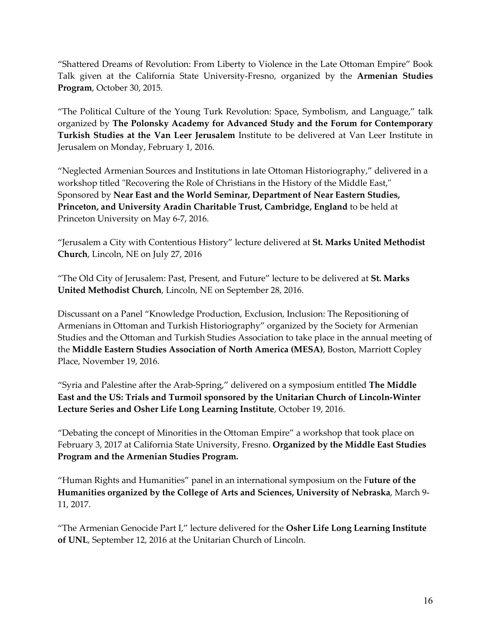"Shattered Dreams of Revolution: From Liberty to Violence in the Late Ottoman Empire" Book Talk given at the California State University-Fresno, organized by the **Armenian Studies Program**, October 30, 2015.

"The Political Culture of the Young Turk Revolution: Space, Symbolism, and Language," talk organized by **The Polonsky Academy for Advanced Study and the Forum for Contemporary Turkish Studies at the Van Leer Jerusalem** Institute to be delivered at Van Leer Institute in Jerusalem on Monday, February 1, 2016.

"Neglected Armenian Sources and Institutions in late Ottoman Historiography," delivered in a workshop titled "Recovering the Role of Christians in the History of the Middle East," Sponsored by **Near East and the World Seminar, Department of Near Eastern Studies, Princeton, and University Aradin Charitable Trust, Cambridge, England** to be held at Princeton University on May 6-7, 2016.

"Jerusalem a City with Contentious History" lecture delivered at **St. Marks United Methodist Church**, Lincoln, NE on July 27, 2016

"The Old City of Jerusalem: Past, Present, and Future" lecture to be delivered at **St. Marks United Methodist Church**, Lincoln, NE on September 28, 2016.

Discussant on a Panel "Knowledge Production, Exclusion, Inclusion: The Repositioning of Armenians in Ottoman and Turkish Historiography" organized by the Society for Armenian Studies and the Ottoman and Turkish Studies Association to take place in the annual meeting of the **Middle Eastern Studies Association of North America (MESA)**, Boston, Marriott Copley Place, November 19, 2016.

"Syria and Palestine after the Arab-Spring," delivered on a symposium entitled **The Middle East and the US: Trials and Turmoil sponsored by the Unitarian Church of Lincoln-Winter Lecture Series and Osher Life Long Learning Institute**, October 19, 2016.

"Debating the concept of Minorities in the Ottoman Empire" a workshop that took place on February 3, 2017 at California State University, Fresno. **Organized by the Middle East Studies Program and the Armenian Studies Program.** 

"Human Rights and Humanities" panel in an international symposium on the F**uture of the Humanities organized by the College of Arts and Sciences, University of Nebraska**, March 9- 11, 2017.

"The Armenian Genocide Part I," lecture delivered for the **Osher Life Long Learning Institute of UNL**, September 12, 2016 at the Unitarian Church of Lincoln.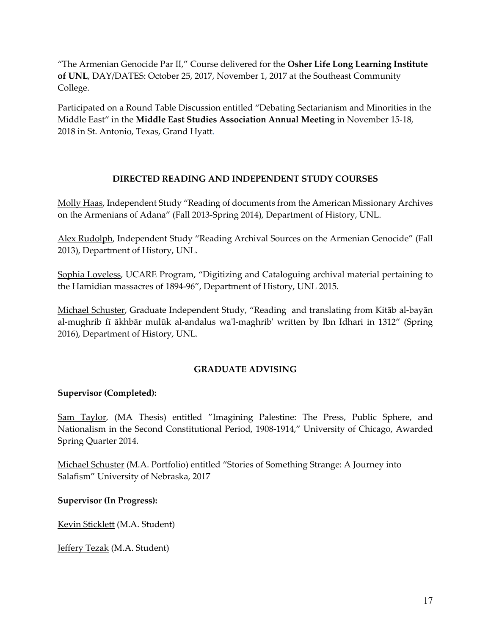"The Armenian Genocide Par II," Course delivered for the **Osher Life Long Learning Institute of UNL**, DAY/DATES: October 25, 2017, November 1, 2017 at the Southeast Community College.

Participated on a Round Table Discussion entitled "Debating Sectarianism and Minorities in the Middle East" in the **Middle East Studies Association Annual Meeting** in November 15-18, 2018 in St. Antonio, Texas, Grand Hyatt**.**

# **DIRECTED READING AND INDEPENDENT STUDY COURSES**

Molly Haas, Independent Study "Reading of documents from the American Missionary Archives on the Armenians of Adana" (Fall 2013-Spring 2014), Department of History, UNL.

Alex Rudolph, Independent Study "Reading Archival Sources on the Armenian Genocide" (Fall 2013), Department of History, UNL.

Sophia Loveless, UCARE Program, "Digitizing and Cataloguing archival material pertaining to the Hamidian massacres of 1894-96", Department of History, UNL 2015.

Michael Schuster, Graduate Independent Study, "Reading and translating from Kitāb al-bayān al-mughrib fī ākhbār mulūk al-andalus wa'l-maghrib' written by Ibn Idhari in 1312" (Spring 2016), Department of History, UNL.

# **GRADUATE ADVISING**

# **Supervisor (Completed):**

Sam Taylor, (MA Thesis) entitled "Imagining Palestine: The Press, Public Sphere, and Nationalism in the Second Constitutional Period, 1908-1914," University of Chicago, Awarded Spring Quarter 2014.

Michael Schuster (M.A. Portfolio) entitled "Stories of Something Strange: A Journey into Salafism" University of Nebraska, 2017

**Supervisor (In Progress):**

Kevin Sticklett (M.A. Student)

Jeffery Tezak (M.A. Student)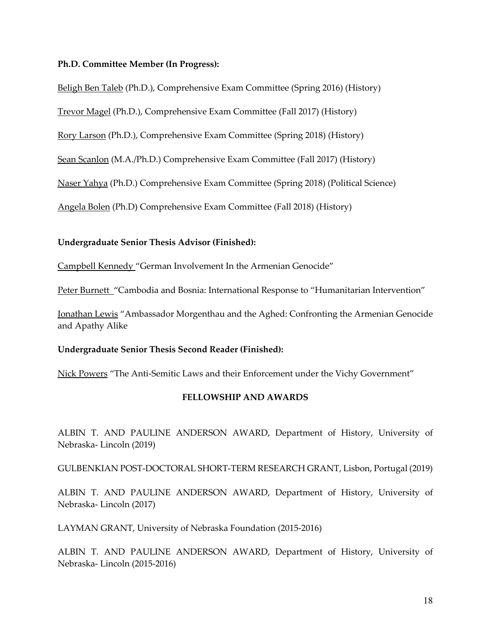### **Ph.D. Committee Member (In Progress):**

Beligh Ben Taleb (Ph.D.), Comprehensive Exam Committee (Spring 2016) (History)

Trevor Magel (Ph.D.), Comprehensive Exam Committee (Fall 2017) (History)

Rory Larson (Ph.D.), Comprehensive Exam Committee (Spring 2018) (History)

Sean Scanlon (M.A./Ph.D.) Comprehensive Exam Committee (Fall 2017) (History)

Naser Yahya (Ph.D.) Comprehensive Exam Committee (Spring 2018) (Political Science)

Angela Bolen (Ph.D) Comprehensive Exam Committee (Fall 2018) (History)

## **Undergraduate Senior Thesis Advisor (Finished):**

Campbell Kennedy "German Involvement In the Armenian Genocide"

Peter Burnett "Cambodia and Bosnia: International Response to "Humanitarian Intervention"

Jonathan Lewis "Ambassador Morgenthau and the Aghed: Confronting the Armenian Genocide and Apathy Alike

## **Undergraduate Senior Thesis Second Reader (Finished):**

Nick Powers "The Anti-Semitic Laws and their Enforcement under the Vichy Government"

# **FELLOWSHIP AND AWARDS**

ALBIN T. AND PAULINE ANDERSON AWARD, Department of History, University of Nebraska- Lincoln (2019)

GULBENKIAN POST-DOCTORAL SHORT-TERM RESEARCH GRANT, Lisbon, Portugal (2019)

ALBIN T. AND PAULINE ANDERSON AWARD, Department of History, University of Nebraska- Lincoln (2017)

LAYMAN GRANT, University of Nebraska Foundation (2015-2016)

ALBIN T. AND PAULINE ANDERSON AWARD, Department of History, University of Nebraska- Lincoln (2015-2016)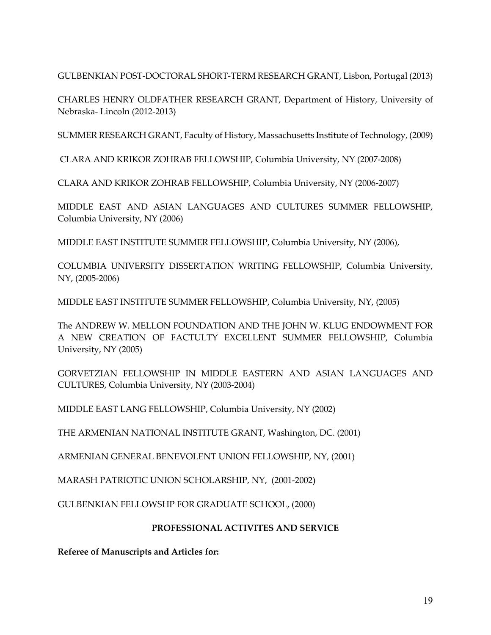GULBENKIAN POST-DOCTORAL SHORT-TERM RESEARCH GRANT, Lisbon, Portugal (2013)

CHARLES HENRY OLDFATHER RESEARCH GRANT, Department of History, University of Nebraska- Lincoln (2012-2013)

SUMMER RESEARCH GRANT, Faculty of History, Massachusetts Institute of Technology, (2009)

CLARA AND KRIKOR ZOHRAB FELLOWSHIP, Columbia University, NY (2007-2008)

CLARA AND KRIKOR ZOHRAB FELLOWSHIP, Columbia University, NY (2006-2007)

MIDDLE EAST AND ASIAN LANGUAGES AND CULTURES SUMMER FELLOWSHIP, Columbia University, NY (2006)

MIDDLE EAST INSTITUTE SUMMER FELLOWSHIP, Columbia University, NY (2006),

COLUMBIA UNIVERSITY DISSERTATION WRITING FELLOWSHIP, Columbia University, NY, (2005-2006)

MIDDLE EAST INSTITUTE SUMMER FELLOWSHIP, Columbia University, NY, (2005)

The ANDREW W. MELLON FOUNDATION AND THE JOHN W. KLUG ENDOWMENT FOR A NEW CREATION OF FACTULTY EXCELLENT SUMMER FELLOWSHIP, Columbia University, NY (2005)

GORVETZIAN FELLOWSHIP IN MIDDLE EASTERN AND ASIAN LANGUAGES AND CULTURES, Columbia University, NY (2003-2004)

MIDDLE EAST LANG FELLOWSHIP, Columbia University, NY (2002)

THE ARMENIAN NATIONAL INSTITUTE GRANT, Washington, DC. (2001)

ARMENIAN GENERAL BENEVOLENT UNION FELLOWSHIP, NY, (2001)

MARASH PATRIOTIC UNION SCHOLARSHIP, NY, (2001-2002)

GULBENKIAN FELLOWSHP FOR GRADUATE SCHOOL, (2000)

# **PROFESSIONAL ACTIVITES AND SERVICE**

**Referee of Manuscripts and Articles for:**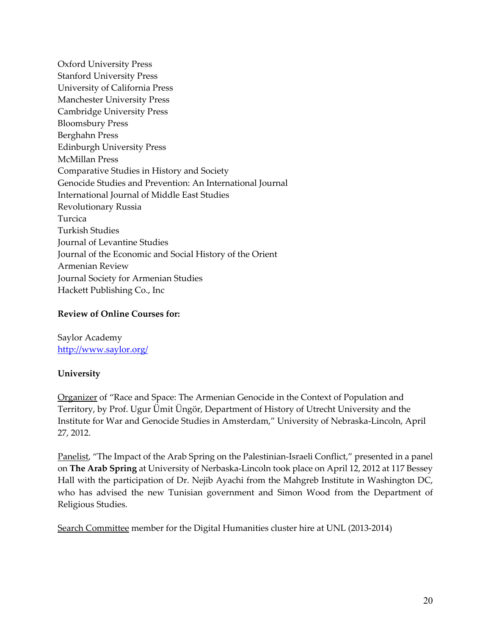Oxford University Press Stanford University Press University of California Press Manchester University Press Cambridge University Press Bloomsbury Press Berghahn Press Edinburgh University Press McMillan Press Comparative Studies in History and Society Genocide Studies and Prevention: An International Journal International Journal of Middle East Studies Revolutionary Russia Turcica Turkish Studies Journal of Levantine Studies Journal of the Economic and Social History of the Orient Armenian Review Journal Society for Armenian Studies Hackett Publishing Co., Inc

# **Review of Online Courses for:**

Saylor Academy http://www.saylor.org/

# **University**

Organizer of "Race and Space: The Armenian Genocide in the Context of Population and Territory, by Prof. Ugur Ümit Üngör, Department of History of Utrecht University and the Institute for War and Genocide Studies in Amsterdam," University of Nebraska-Lincoln, April 27, 2012.

Panelist, "The Impact of the Arab Spring on the Palestinian-Israeli Conflict," presented in a panel on **The Arab Spring** at University of Nerbaska-Lincoln took place on April 12, 2012 at 117 Bessey Hall with the participation of Dr. Nejib Ayachi from the Mahgreb Institute in Washington DC, who has advised the new Tunisian government and Simon Wood from the Department of Religious Studies.

Search Committee member for the Digital Humanities cluster hire at UNL (2013-2014)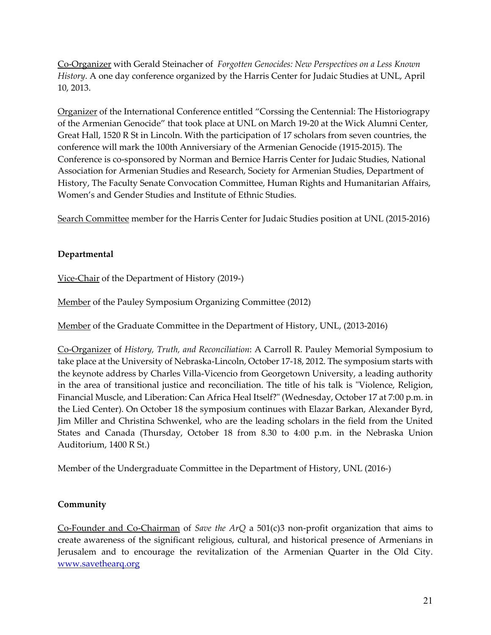Co-Organizer with Gerald Steinacher of *Forgotten Genocides: New Perspectives on a Less Known History*. A one day conference organized by the Harris Center for Judaic Studies at UNL, April 10, 2013.

Organizer of the International Conference entitled "Corssing the Centennial: The Historiograpy of the Armenian Genocide" that took place at UNL on March 19-20 at the Wick Alumni Center, Great Hall, 1520 R St in Lincoln. With the participation of 17 scholars from seven countries, the conference will mark the 100th Anniversiary of the Armenian Genocide (1915-2015). The Conference is co-sponsored by Norman and Bernice Harris Center for Judaic Studies, National Association for Armenian Studies and Research, Society for Armenian Studies, Department of History, The Faculty Senate Convocation Committee, Human Rights and Humanitarian Affairs, Women's and Gender Studies and Institute of Ethnic Studies.

Search Committee member for the Harris Center for Judaic Studies position at UNL (2015-2016)

# **Departmental**

Vice-Chair of the Department of History (2019-)

Member of the Pauley Symposium Organizing Committee (2012)

Member of the Graduate Committee in the Department of History, UNL, (2013-2016)

Co-Organizer of *History, Truth, and Reconciliation*: A Carroll R. Pauley Memorial Symposium to take place at the University of Nebraska-Lincoln, October 17-18, 2012. The symposium starts with the keynote address by Charles Villa-Vicencio from Georgetown University, a leading authority in the area of transitional justice and reconciliation. The title of his talk is "Violence, Religion, Financial Muscle, and Liberation: Can Africa Heal Itself?" (Wednesday, October 17 at 7:00 p.m. in the Lied Center). On October 18 the symposium continues with Elazar Barkan, Alexander Byrd, Jim Miller and Christina Schwenkel, who are the leading scholars in the field from the United States and Canada (Thursday, October 18 from 8.30 to 4:00 p.m. in the Nebraska Union Auditorium, 1400 R St.)

Member of the Undergraduate Committee in the Department of History, UNL (2016-)

## **Community**

Co-Founder and Co-Chairman of *Save the ArQ* a 501(c)3 non-profit organization that aims to create awareness of the significant religious, cultural, and historical presence of Armenians in Jerusalem and to encourage the revitalization of the Armenian Quarter in the Old City. www.savethearq.org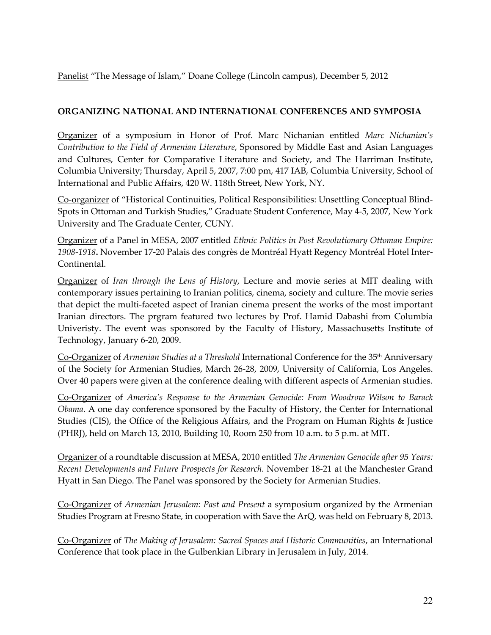Panelist "The Message of Islam," Doane College (Lincoln campus), December 5, 2012

# **ORGANIZING NATIONAL AND INTERNATIONAL CONFERENCES AND SYMPOSIA**

Organizer of a symposium in Honor of Prof. Marc Nichanian entitled *Marc Nichanian's Contribution to the Field of Armenian Literature*, Sponsored by Middle East and Asian Languages and Cultures, Center for Comparative Literature and Society, and The Harriman Institute, Columbia University; Thursday, April 5, 2007, 7:00 pm, 417 IAB, Columbia University, School of International and Public Affairs, 420 W. 118th Street, New York, NY.

Co-organizer of "Historical Continuities, Political Responsibilities: Unsettling Conceptual Blind-Spots in Ottoman and Turkish Studies," Graduate Student Conference, May 4-5, 2007, New York University and The Graduate Center, CUNY.

Organizer of a Panel in MESA, 2007 entitled *Ethnic Politics in Post Revolutionary Ottoman Empire: 1908-1918***.** November 17-20 Palais des congrès de Montréal Hyatt Regency Montréal Hotel Inter-Continental.

Organizer of *Iran through the Lens of History*, Lecture and movie series at MIT dealing with contemporary issues pertaining to Iranian politics, cinema, society and culture. The movie series that depict the multi-faceted aspect of Iranian cinema present the works of the most important Iranian directors. The prgram featured two lectures by Prof. Hamid Dabashi from Columbia Univeristy. The event was sponsored by the Faculty of History, Massachusetts Institute of Technology, January 6-20, 2009.

Co-Organizer of *Armenian Studies at a Threshold* International Conference for the 35th Anniversary of the Society for Armenian Studies, March 26-28, 2009, University of California, Los Angeles. Over 40 papers were given at the conference dealing with different aspects of Armenian studies.

Co-Organizer of *America's Response to the Armenian Genocide: From Woodrow Wilson to Barack Obama*. A one day conference sponsored by the Faculty of History, the Center for International Studies (CIS), the Office of the Religious Affairs, and the Program on Human Rights & Justice (PHRJ), held on March 13, 2010, Building 10, Room 250 from 10 a.m. to 5 p.m. at MIT.

Organizer of a roundtable discussion at MESA, 2010 entitled *The Armenian Genocide after 95 Years: Recent Developments and Future Prospects for Research.* November 18-21 at the Manchester Grand Hyatt in San Diego. The Panel was sponsored by the Society for Armenian Studies.

Co-Organizer of *Armenian Jerusalem: Past and Present* a symposium organized by the Armenian Studies Program at Fresno State, in cooperation with Save the ArQ, was held on February 8, 2013.

Co-Organizer of *The Making of Jerusalem: Sacred Spaces and Historic Communities*, an International Conference that took place in the Gulbenkian Library in Jerusalem in July, 2014.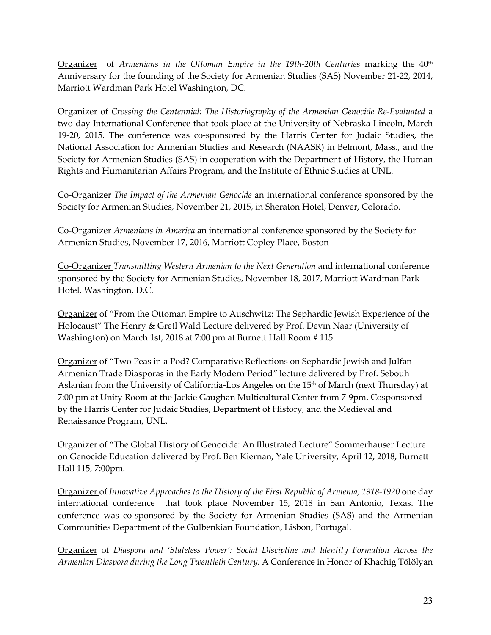Organizer of *Armenians in the Ottoman Empire in the 19th-20th Centuries* marking the 40<sup>th</sup> Anniversary for the founding of the Society for Armenian Studies (SAS) November 21-22, 2014, Marriott Wardman Park Hotel Washington, DC.

Organizer of *Crossing the Centennial: The Historiography of the Armenian Genocide Re-Evaluated* a two-day International Conference that took place at the University of Nebraska-Lincoln, March 19-20, 2015. The conference was co-sponsored by the Harris Center for Judaic Studies, the National Association for Armenian Studies and Research (NAASR) in Belmont, Mass., and the Society for Armenian Studies (SAS) in cooperation with the Department of History, the Human Rights and Humanitarian Affairs Program, and the Institute of Ethnic Studies at UNL.

Co-Organizer *The Impact of the Armenian Genocide* an international conference sponsored by the Society for Armenian Studies, November 21, 2015, in Sheraton Hotel, Denver, Colorado.

Co-Organizer *Armenians in America* an international conference sponsored by the Society for Armenian Studies, November 17, 2016, Marriott Copley Place, Boston

Co-Organizer *Transmitting Western Armenian to the Next Generation* and international conference sponsored by the Society for Armenian Studies, November 18, 2017, Marriott Wardman Park Hotel, Washington, D.C.

Organizer of "From the Ottoman Empire to Auschwitz: The Sephardic Jewish Experience of the Holocaust" The Henry & Gretl Wald Lecture delivered by Prof. Devin Naar (University of Washington) on March 1st, 2018 at 7:00 pm at Burnett Hall Room # 115.

Organizer of "Two Peas in a Pod? Comparative Reflections on Sephardic Jewish and Julfan Armenian Trade Diasporas in the Early Modern Period*"* lecture delivered by Prof. Sebouh Aslanian from the University of California-Los Angeles on the 15th of March (next Thursday) at 7:00 pm at Unity Room at the Jackie Gaughan Multicultural Center from 7-9pm. Cosponsored by the Harris Center for Judaic Studies, Department of History, and the Medieval and Renaissance Program, UNL.

Organizer of "The Global History of Genocide: An Illustrated Lecture" Sommerhauser Lecture on Genocide Education delivered by Prof. Ben Kiernan, Yale University, April 12, 2018, Burnett Hall 115, 7:00pm.

Organizer of *Innovative Approaches to the History of the First Republic of Armenia, 1918-1920* one day international conference that took place November 15, 2018 in San Antonio, Texas. The conference was co-sponsored by the Society for Armenian Studies (SAS) and the Armenian Communities Department of the Gulbenkian Foundation, Lisbon, Portugal.

Organizer of *Diaspora and 'Stateless Power': Social Discipline and Identity Formation Across the Armenian Diaspora during the Long Twentieth Century*. A Conference in Honor of Khachig Tölölyan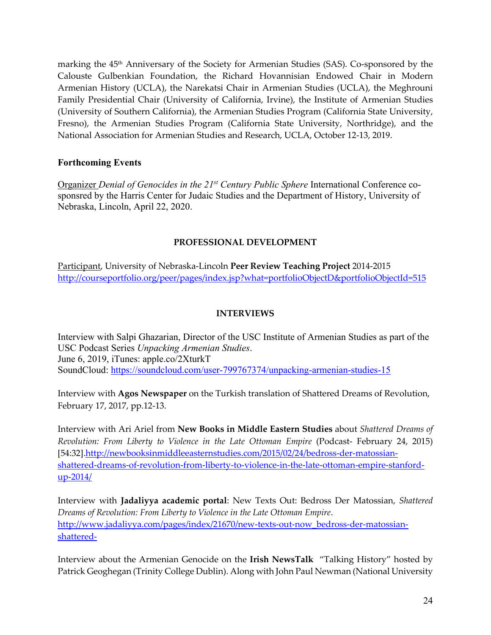marking the 45<sup>th</sup> Anniversary of the Society for Armenian Studies (SAS). Co-sponsored by the Calouste Gulbenkian Foundation, the Richard Hovannisian Endowed Chair in Modern Armenian History (UCLA), the Narekatsi Chair in Armenian Studies (UCLA), the Meghrouni Family Presidential Chair (University of California, Irvine), the Institute of Armenian Studies (University of Southern California), the Armenian Studies Program (California State University, Fresno), the Armenian Studies Program (California State University, Northridge), and the National Association for Armenian Studies and Research, UCLA, October 12-13, 2019.

# **Forthcoming Events**

Organizer *Denial of Genocides in the 21st Century Public Sphere* International Conference cosponsred by the Harris Center for Judaic Studies and the Department of History, University of Nebraska, Lincoln, April 22, 2020.

# **PROFESSIONAL DEVELOPMENT**

Participant, University of Nebraska-Lincoln **Peer Review Teaching Project** 2014-2015 http://courseportfolio.org/peer/pages/index.jsp?what=portfolioObjectD&portfolioObjectId=515

# **INTERVIEWS**

Interview with Salpi Ghazarian, Director of the USC Institute of Armenian Studies as part of the USC Podcast Series *Unpacking Armenian Studies*. June 6, 2019, iTunes: apple.co/2XturkT SoundCloud: https://soundcloud.com/user-799767374/unpacking-armenian-studies-15

Interview with **Agos Newspaper** on the Turkish translation of Shattered Dreams of Revolution, February 17, 2017, pp.12-13.

Interview with Ari Ariel from **New Books in Middle Eastern Studies** about *Shattered Dreams of Revolution: From Liberty to Violence in the Late Ottoman Empire* (Podcast- February 24, 2015) [54:32].http://newbooksinmiddleeasternstudies.com/2015/02/24/bedross-der-matossianshattered-dreams-of-revolution-from-liberty-to-violence-in-the-late-ottoman-empire-stanfordup-2014/

Interview with **Jadaliyya academic portal**: New Texts Out: Bedross Der Matossian, *Shattered Dreams of Revolution: From Liberty to Violence in the Late Ottoman Empire*. http://www.jadaliyya.com/pages/index/21670/new-texts-out-now\_bedross-der-matossianshattered-

Interview about the Armenian Genocide on the **Irish NewsTalk** "Talking History" hosted by Patrick Geoghegan (Trinity College Dublin). Along with John Paul Newman (National University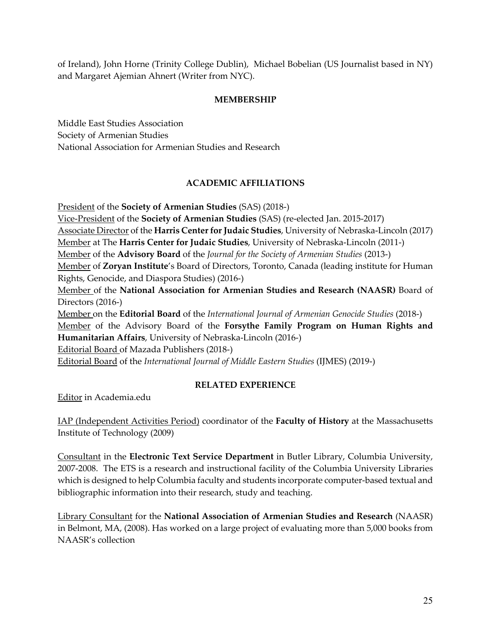of Ireland), John Horne (Trinity College Dublin), Michael Bobelian (US Journalist based in NY) and Margaret Ajemian Ahnert (Writer from NYC).

# **MEMBERSHIP**

Middle East Studies Association Society of Armenian Studies National Association for Armenian Studies and Research

# **ACADEMIC AFFILIATIONS**

President of the **Society of Armenian Studies** (SAS) (2018-) Vice-President of the **Society of Armenian Studies** (SAS) (re-elected Jan. 2015-2017) Associate Director of the **Harris Center for Judaic Studies**, University of Nebraska-Lincoln (2017) Member at The **Harris Center for Judaic Studies**, University of Nebraska-Lincoln (2011-) Member of the **Advisory Board** of the *Journal for the Society of Armenian Studies* (2013-) Member of **Zoryan Institute**'s Board of Directors, Toronto, Canada (leading institute for Human Rights, Genocide, and Diaspora Studies) (2016-) Member of the **National Association for Armenian Studies and Research (NAASR)** Board of Directors (2016-) Member on the **Editorial Board** of the *International Journal of Armenian Genocide Studies* (2018-) Member of the Advisory Board of the **Forsythe Family Program on Human Rights and Humanitarian Affairs**, University of Nebraska-Lincoln (2016-) Editorial Board of Mazada Publishers (2018-) Editorial Board of the *International Journal of Middle Eastern Studies* (IJMES) (2019-)

# **RELATED EXPERIENCE**

Editor in Academia.edu

IAP (Independent Activities Period) coordinator of the **Faculty of History** at the Massachusetts Institute of Technology (2009)

Consultant in the **Electronic Text Service Department** in Butler Library, Columbia University, 2007-2008. The ETS is a research and instructional facility of the Columbia University Libraries which is designed to help Columbia faculty and students incorporate computer-based textual and bibliographic information into their research, study and teaching.

Library Consultant for the **National Association of Armenian Studies and Research** (NAASR) in Belmont, MA, (2008). Has worked on a large project of evaluating more than 5,000 books from NAASR's collection